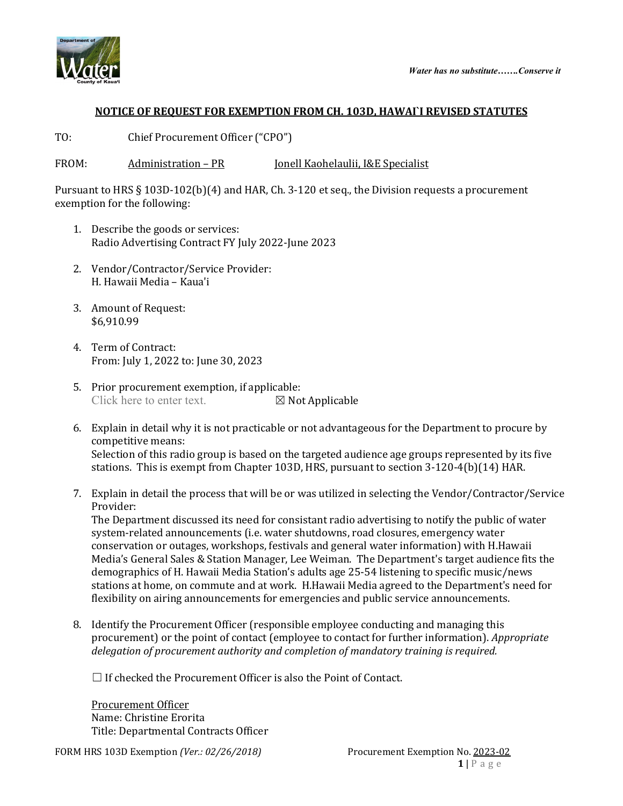



## **NOTICE OF REQUEST FOR EXEMPTION FROM CH. 103D, HAWAI`I REVISED STATUTES**

TO: Chief Procurement Officer ("CPO")

FROM: Administration – PR Jonell Kaohelaulii, I&E Specialist

Pursuant to HRS § 103D-102(b)(4) and HAR, Ch. 3-120 et seq., the Division requests a procurement exemption for the following:

- 1. Describe the goods or services: Radio Advertising Contract FY July 2022-June 2023
- 2. Vendor/Contractor/Service Provider: H. Hawaii Media – Kaua'i
- 3. Amount of Request: \$6,910.99
- 4. Term of Contract: From: July 1, 2022 to: June 30, 2023
- 5. Prior procurement exemption, if applicable:<br>Click here to enter text.  $\boxtimes$  Not Applicable Click here to enter text.
- 6. Explain in detail why it is not practicable or not advantageous for the Department to procure by competitive means: Selection of this radio group is based on the targeted audience age groups represented by its five stations. This is exempt from Chapter 103D, HRS, pursuant to section 3-120-4(b)(14) HAR.
- 7. Explain in detail the process that will be or was utilized in selecting the Vendor/Contractor/Service Provider:

The Department discussed its need for consistant radio advertising to notify the public of water system-related announcements (i.e. water shutdowns, road closures, emergency water conservation or outages, workshops, festivals and general water information) with H.Hawaii Media's General Sales & Station Manager, Lee Weiman. The Department's target audience fits the demographics of H. Hawaii Media Station's adults age 25-54 listening to specific music/news stations at home, on commute and at work. H.Hawaii Media agreed to the Department's need for flexibility on airing announcements for emergencies and public service announcements.

8. Identify the Procurement Officer (responsible employee conducting and managing this procurement) or the point of contact (employee to contact for further information). *Appropriate delegation of procurement authority and completion of mandatory training is required.*

 $\Box$  If checked the Procurement Officer is also the Point of Contact.

Procurement Officer Name: Christine Erorita Title: Departmental Contracts Officer

FORM HRS 103D Exemption *(Ver.: 02/26/2018)* Procurement Exemption No. 2023-02